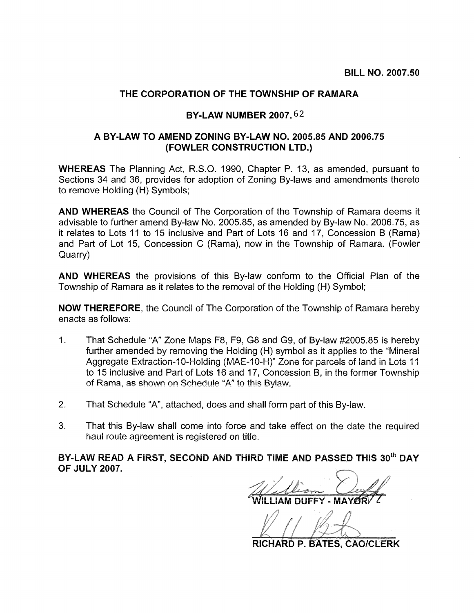## THE CORPORATION OF THE TOWNSHIP OF RAMARA

## **BY-LAW NUMBER 2007.62**

## A BY-LAW TO AMEND ZONING BY-LAW NO. 2005.85 AND 2006.75 (FOWLER CONSTRUCTION LTD.)

**WHEREAS** The Planning Act, R.S.O. 1990, Chapter P. 13, as amended, pursuant to Sections 34 and 36, provides for adoption of Zoning By-laws and amendments thereto to remove Holding (H) Symbols;

AND WHEREAS the Council of The Corporation of the Township of Ramara deems it advisable to further amend By-law No. 2005.85, as amended by By-law No. 2006.75, as it relates to Lots 11 to 15 inclusive and Part of Lots 16 and 17. Concession B (Rama) and Part of Lot 15, Concession C (Rama), now in the Township of Ramara. (Fowler Quarry)

**AND WHEREAS** the provisions of this By-law conform to the Official Plan of the Township of Ramara as it relates to the removal of the Holding (H) Symbol;

**NOW THEREFORE, the Council of The Corporation of the Township of Ramara hereby** enacts as follows:

- $1<sub>1</sub>$ That Schedule "A" Zone Maps F8, F9, G8 and G9, of By-law #2005.85 is hereby further amended by removing the Holding (H) symbol as it applies to the "Mineral Aggregate Extraction-10-Holding (MAE-10-H)" Zone for parcels of land in Lots 11 to 15 inclusive and Part of Lots 16 and 17, Concession B, in the former Township of Rama, as shown on Schedule "A" to this Bylaw.
- $2.$ That Schedule "A", attached, does and shall form part of this By-law.
- $3<sub>1</sub>$ That this By-law shall come into force and take effect on the date the required haul route agreement is registered on title.

BY-LAW READ A FIRST, SECOND AND THIRD TIME AND PASSED THIS 30<sup>th</sup> DAY **OF JULY 2007.** 

RICHARD P. BATES, CAO/CLERK